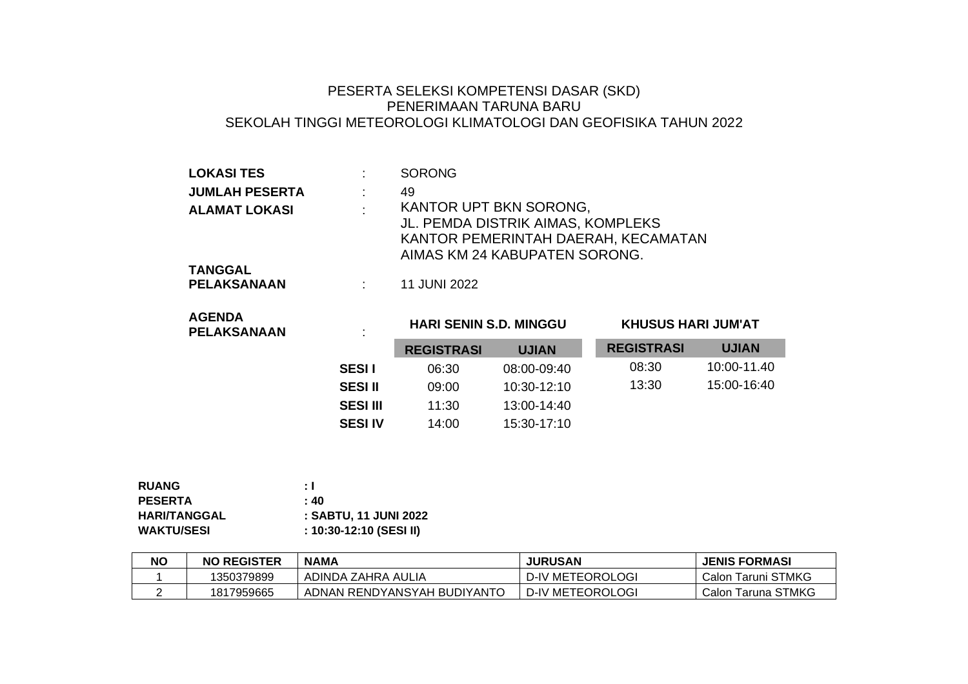## PESERTA SELEKSI KOMPETENSI DASAR (SKD) PENERIMAAN TARUNA BARU SEKOLAH TINGGI METEOROLOGI KLIMATOLOGI DAN GEOFISIKA TAHUN 2022

| <b>LOKASI TES</b>             |        | <b>SORONG</b>                                                                                                                       |
|-------------------------------|--------|-------------------------------------------------------------------------------------------------------------------------------------|
| <b>JUMLAH PESERTA</b>         |        | 49                                                                                                                                  |
| <b>ALAMAT LOKASI</b>          | $\sim$ | KANTOR UPT BKN SORONG,<br>JL. PEMDA DISTRIK AIMAS, KOMPLEKS<br>KANTOR PEMERINTAH DAERAH, KECAMATAN<br>AIMAS KM 24 KABUPATEN SORONG. |
| <b>TANGGAL</b><br>PELAKSANAAN |        | 11 JUNI 2022                                                                                                                        |

| <b>AGENDA</b><br><b>PELAKSANAAN</b> | $\blacksquare$  | <b>HARI SENIN S.D. MINGGU</b> |               | <b>KHUSUS HARI JUM'AT</b> |              |
|-------------------------------------|-----------------|-------------------------------|---------------|---------------------------|--------------|
|                                     |                 | <b>REGISTRASI</b>             | <b>UJIAN</b>  | <b>REGISTRASI</b>         | <b>UJIAN</b> |
|                                     | <b>SESII</b>    | 06:30                         | 08:00-09:40   | 08:30                     | 10:00-11.40  |
|                                     | <b>SESI II</b>  | 09:00                         | 10:30-12:10   | 13:30                     | 15:00-16:40  |
|                                     | <b>SESI III</b> | 11:30                         | $13:00-14:40$ |                           |              |
|                                     | <b>SESI IV</b>  | 14:00                         | 15:30-17:10   |                           |              |

| <b>RUANG</b>        | ÷ I                     |
|---------------------|-------------------------|
| <b>PESERTA</b>      | : 40                    |
| <b>HARI/TANGGAL</b> | : SABTU, 11 JUNI 2022   |
| <b>WAKTU/SESI</b>   | : 10:30-12:10 (SESI II) |

| <b>NC</b> | <b>NO REGISTER</b> | <b>NAMA</b>                 | <b>JURUSAN</b>   | <b>JENIS FORMASI</b> |
|-----------|--------------------|-----------------------------|------------------|----------------------|
|           | 1350379899         | ADINDA ZAHRA AULIA          | D-IV METEOROLOGI | Calon Taruni STMKG   |
|           | 1817959665         | ADNAN RENDYANSYAH BUDIYANTO | D-IV METEOROLOGI | Calon Taruna STMKG   |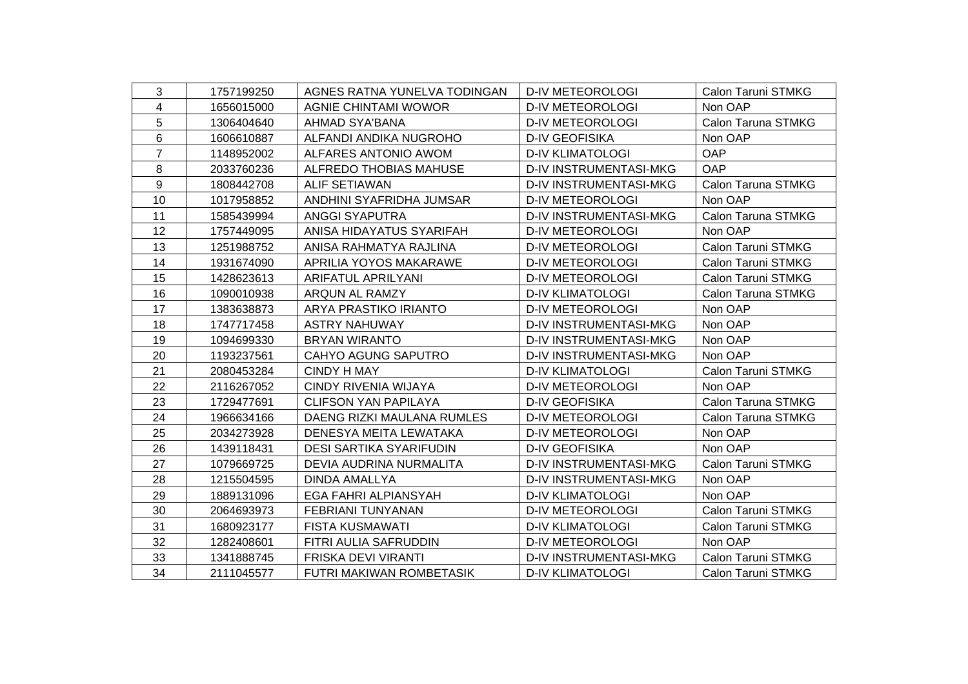| 3              | 1757199250 | AGNES RATNA YUNELVA TODINGAN   | <b>D-IV METEOROLOGI</b>       | Calon Taruni STMKG |
|----------------|------------|--------------------------------|-------------------------------|--------------------|
| 4              | 1656015000 | AGNIE CHINTAMI WOWOR           | <b>D-IV METEOROLOGI</b>       | Non OAP            |
| 5              | 1306404640 | <b>AHMAD SYA'BANA</b>          | <b>D-IV METEOROLOGI</b>       | Calon Taruna STMKG |
| 6              | 1606610887 | ALFANDI ANDIKA NUGROHO         | <b>D-IV GEOFISIKA</b>         | Non OAP            |
| $\overline{7}$ | 1148952002 | ALFARES ANTONIO AWOM           | <b>D-IV KLIMATOLOGI</b>       | OAP                |
| 8              | 2033760236 | <b>ALFREDO THOBIAS MAHUSE</b>  | <b>D-IV INSTRUMENTASI-MKG</b> | OAP                |
| 9              | 1808442708 | ALIF SETIAWAN                  | <b>D-IV INSTRUMENTASI-MKG</b> | Calon Taruna STMKG |
| 10             | 1017958852 | ANDHINI SYAFRIDHA JUMSAR       | <b>D-IV METEOROLOGI</b>       | Non OAP            |
| 11             | 1585439994 | <b>ANGGI SYAPUTRA</b>          | <b>D-IV INSTRUMENTASI-MKG</b> | Calon Taruna STMKG |
| 12             | 1757449095 | ANISA HIDAYATUS SYARIFAH       | <b>D-IV METEOROLOGI</b>       | Non OAP            |
| 13             | 1251988752 | ANISA RAHMATYA RAJLINA         | <b>D-IV METEOROLOGI</b>       | Calon Taruni STMKG |
| 14             | 1931674090 | APRILIA YOYOS MAKARAWE         | <b>D-IV METEOROLOGI</b>       | Calon Taruni STMKG |
| 15             | 1428623613 | <b>ARIFATUL APRILYANI</b>      | <b>D-IV METEOROLOGI</b>       | Calon Taruni STMKG |
| 16             | 1090010938 | ARQUN AL RAMZY                 | <b>D-IV KLIMATOLOGI</b>       | Calon Taruna STMKG |
| 17             | 1383638873 | ARYA PRASTIKO IRIANTO          | <b>D-IV METEOROLOGI</b>       | Non OAP            |
| 18             | 1747717458 | <b>ASTRY NAHUWAY</b>           | D-IV INSTRUMENTASI-MKG        | Non OAP            |
| 19             | 1094699330 | <b>BRYAN WIRANTO</b>           | D-IV INSTRUMENTASI-MKG        | Non OAP            |
| 20             | 1193237561 | <b>CAHYO AGUNG SAPUTRO</b>     | <b>D-IV INSTRUMENTASI-MKG</b> | Non OAP            |
| 21             | 2080453284 | <b>CINDY H MAY</b>             | <b>D-IV KLIMATOLOGI</b>       | Calon Taruni STMKG |
| 22             | 2116267052 | CINDY RIVENIA WIJAYA           | <b>D-IV METEOROLOGI</b>       | Non OAP            |
| 23             | 1729477691 | <b>CLIFSON YAN PAPILAYA</b>    | <b>D-IV GEOFISIKA</b>         | Calon Taruna STMKG |
| 24             | 1966634166 | DAENG RIZKI MAULANA RUMLES     | <b>D-IV METEOROLOGI</b>       | Calon Taruna STMKG |
| 25             | 2034273928 | DENESYA MEITA LEWATAKA         | <b>D-IV METEOROLOGI</b>       | Non OAP            |
| 26             | 1439118431 | <b>DESI SARTIKA SYARIFUDIN</b> | <b>D-IV GEOFISIKA</b>         | Non OAP            |
| 27             | 1079669725 | DEVIA AUDRINA NURMALITA        | D-IV INSTRUMENTASI-MKG        | Calon Taruni STMKG |
| 28             | 1215504595 | DINDA AMALLYA                  | D-IV INSTRUMENTASI-MKG        | Non OAP            |
| 29             | 1889131096 | EGA FAHRI ALPIANSYAH           | <b>D-IV KLIMATOLOGI</b>       | Non OAP            |
| 30             | 2064693973 | FEBRIANI TUNYANAN              | <b>D-IV METEOROLOGI</b>       | Calon Taruni STMKG |
| 31             | 1680923177 | <b>FISTA KUSMAWATI</b>         | <b>D-IV KLIMATOLOGI</b>       | Calon Taruni STMKG |
| 32             | 1282408601 | FITRI AULIA SAFRUDDIN          | <b>D-IV METEOROLOGI</b>       | Non OAP            |
| 33             | 1341888745 | FRISKA DEVI VIRANTI            | D-IV INSTRUMENTASI-MKG        | Calon Taruni STMKG |
| 34             | 2111045577 | FUTRI MAKIWAN ROMBETASIK       | <b>D-IV KLIMATOLOGI</b>       | Calon Taruni STMKG |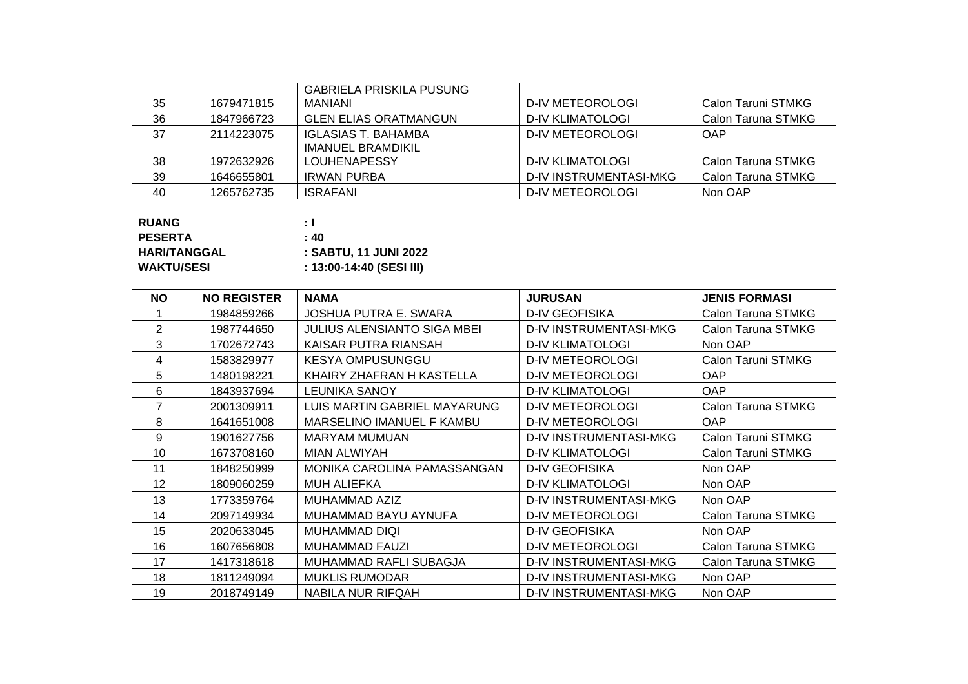|    |            | GABRIELA PRISKILA PUSUNG     |                         |                    |
|----|------------|------------------------------|-------------------------|--------------------|
| 35 | 1679471815 | MANIANI                      | D-IV METEOROLOGI        | Calon Taruni STMKG |
| 36 | 1847966723 | <b>GLEN ELIAS ORATMANGUN</b> | D-IV KLIMATOLOGI        | Calon Taruna STMKG |
| 37 | 2114223075 | IGLASIAS T. BAHAMBA          | D-IV METEOROLOGI        | <b>OAP</b>         |
|    |            | <b>IMANUEL BRAMDIKIL</b>     |                         |                    |
| 38 | 1972632926 | <b>LOUHENAPESSY</b>          | <b>D-IV KLIMATOLOGI</b> | Calon Taruna STMKG |
| 39 | 1646655801 | IRWAN PURBA                  | D-IV INSTRUMENTASI-MKG  | Calon Taruna STMKG |
| 40 | 1265762735 | <b>ISRAFANI</b>              | D-IV METEOROLOGI        | Non OAP            |

| <b>RUANG</b>        | ÷ I                      |
|---------------------|--------------------------|
| <b>PESERTA</b>      | : 40                     |
| <b>HARI/TANGGAL</b> | : SABTU. 11 JUNI 2022    |
| <b>WAKTU/SESI</b>   | : 13:00-14:40 (SESI III) |

| <b>NO</b>      | <b>NO REGISTER</b> | <b>NAMA</b>                        | <b>JURUSAN</b>                | <b>JENIS FORMASI</b> |
|----------------|--------------------|------------------------------------|-------------------------------|----------------------|
|                | 1984859266         | JOSHUA PUTRA E. SWARA              | <b>D-IV GEOFISIKA</b>         | Calon Taruna STMKG   |
| $\overline{2}$ | 1987744650         | <b>JULIUS ALENSIANTO SIGA MBEI</b> | D-IV INSTRUMENTASI-MKG        | Calon Taruna STMKG   |
| 3              | 1702672743         | KAISAR PUTRA RIANSAH               | <b>D-IV KLIMATOLOGI</b>       | Non OAP              |
| 4              | 1583829977         | <b>KESYA OMPUSUNGGU</b>            | <b>D-IV METEOROLOGI</b>       | Calon Taruni STMKG   |
| 5              | 1480198221         | KHAIRY ZHAFRAN H KASTELLA          | <b>D-IV METEOROLOGI</b>       | OAP                  |
| 6              | 1843937694         | LEUNIKA SANOY                      | <b>D-IV KLIMATOLOGI</b>       | <b>OAP</b>           |
|                | 2001309911         | LUIS MARTIN GABRIEL MAYARUNG       | <b>D-IV METEOROLOGI</b>       | Calon Taruna STMKG   |
| 8              | 1641651008         | MARSELINO IMANUEL F KAMBU          | <b>D-IV METEOROLOGI</b>       | OAP                  |
| 9              | 1901627756         | <b>MARYAM MUMUAN</b>               | <b>D-IV INSTRUMENTASI-MKG</b> | Calon Taruni STMKG   |
| 10             | 1673708160         | <b>MIAN ALWIYAH</b>                | <b>D-IV KLIMATOLOGI</b>       | Calon Taruni STMKG   |
| 11             | 1848250999         | MONIKA CAROLINA PAMASSANGAN        | <b>D-IV GEOFISIKA</b>         | Non OAP              |
| 12             | 1809060259         | MUH ALIEFKA                        | <b>D-IV KLIMATOLOGI</b>       | Non OAP              |
| 13             | 1773359764         | MUHAMMAD AZIZ                      | <b>D-IV INSTRUMENTASI-MKG</b> | Non OAP              |
| 14             | 2097149934         | MUHAMMAD BAYU AYNUFA               | <b>D-IV METEOROLOGI</b>       | Calon Taruna STMKG   |
| 15             | 2020633045         | MUHAMMAD DIQI                      | <b>D-IV GEOFISIKA</b>         | Non OAP              |
| 16             | 1607656808         | <b>MUHAMMAD FAUZI</b>              | <b>D-IV METEOROLOGI</b>       | Calon Taruna STMKG   |
| 17             | 1417318618         | <b>MUHAMMAD RAFLI SUBAGJA</b>      | <b>D-IV INSTRUMENTASI-MKG</b> | Calon Taruna STMKG   |
| 18             | 1811249094         | <b>MUKLIS RUMODAR</b>              | D-IV INSTRUMENTASI-MKG        | Non OAP              |
| 19             | 2018749149         | NABILA NUR RIFQAH                  | <b>D-IV INSTRUMENTASI-MKG</b> | Non OAP              |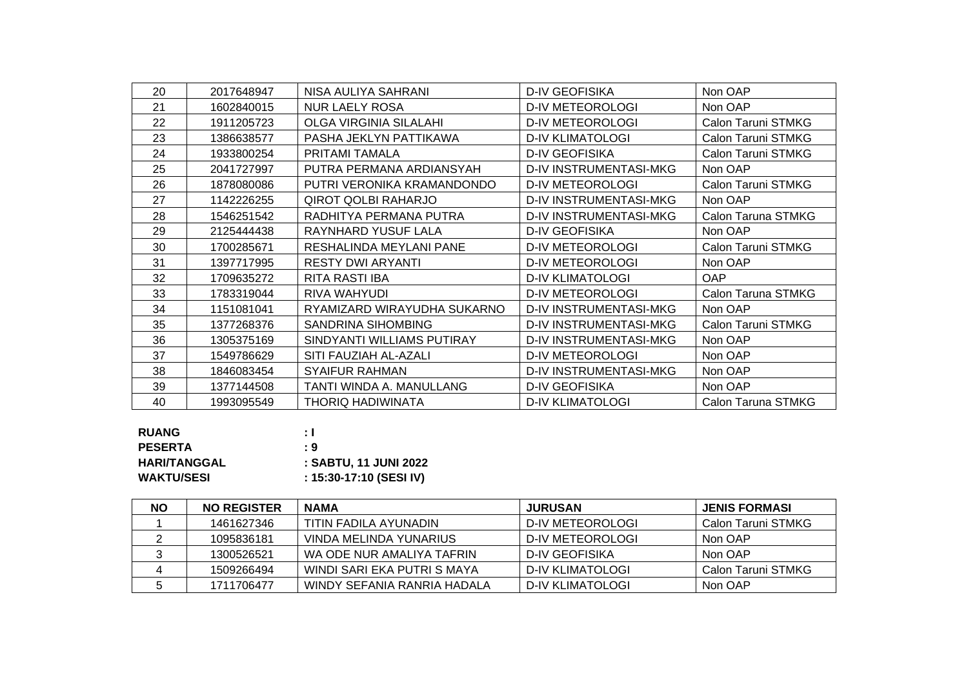| 20 | 2017648947 | NISA AULIYA SAHRANI           | <b>D-IV GEOFISIKA</b>         | Non OAP            |
|----|------------|-------------------------------|-------------------------------|--------------------|
| 21 | 1602840015 | <b>NUR LAELY ROSA</b>         | <b>D-IV METEOROLOGI</b>       | Non OAP            |
| 22 | 1911205723 | <b>OLGA VIRGINIA SILALAHI</b> | <b>D-IV METEOROLOGI</b>       | Calon Taruni STMKG |
| 23 | 1386638577 | PASHA JEKLYN PATTIKAWA        | <b>D-IV KLIMATOLOGI</b>       | Calon Taruni STMKG |
| 24 | 1933800254 | PRITAMI TAMALA                | <b>D-IV GEOFISIKA</b>         | Calon Taruni STMKG |
| 25 | 2041727997 | PUTRA PERMANA ARDIANSYAH      | <b>D-IV INSTRUMENTASI-MKG</b> | Non OAP            |
| 26 | 1878080086 | PUTRI VERONIKA KRAMANDONDO    | <b>D-IV METEOROLOGI</b>       | Calon Taruni STMKG |
| 27 | 1142226255 | <b>QIROT QOLBI RAHARJO</b>    | <b>D-IV INSTRUMENTASI-MKG</b> | Non OAP            |
| 28 | 1546251542 | RADHITYA PERMANA PUTRA        | <b>D-IV INSTRUMENTASI-MKG</b> | Calon Taruna STMKG |
| 29 | 2125444438 | RAYNHARD YUSUF LALA           | <b>D-IV GEOFISIKA</b>         | Non OAP            |
| 30 | 1700285671 | RESHALINDA MEYLANI PANE       | <b>D-IV METEOROLOGI</b>       | Calon Taruni STMKG |
| 31 | 1397717995 | <b>RESTY DWI ARYANTI</b>      | <b>D-IV METEOROLOGI</b>       | Non OAP            |
| 32 | 1709635272 | <b>RITA RASTI IBA</b>         | <b>D-IV KLIMATOLOGI</b>       | OAP                |
| 33 | 1783319044 | RIVA WAHYUDI                  | <b>D-IV METEOROLOGI</b>       | Calon Taruna STMKG |
| 34 | 1151081041 | RYAMIZARD WIRAYUDHA SUKARNO   | <b>D-IV INSTRUMENTASI-MKG</b> | Non OAP            |
| 35 | 1377268376 | <b>SANDRINA SIHOMBING</b>     | <b>D-IV INSTRUMENTASI-MKG</b> | Calon Taruni STMKG |
| 36 | 1305375169 | SINDYANTI WILLIAMS PUTIRAY    | <b>D-IV INSTRUMENTASI-MKG</b> | Non OAP            |
| 37 | 1549786629 | SITI FAUZIAH AL-AZALI         | <b>D-IV METEOROLOGI</b>       | Non OAP            |
| 38 | 1846083454 | <b>SYAIFUR RAHMAN</b>         | <b>D-IV INSTRUMENTASI-MKG</b> | Non OAP            |
| 39 | 1377144508 | TANTI WINDA A. MANULLANG      | <b>D-IV GEOFISIKA</b>         | Non OAP            |
| 40 | 1993095549 | THORIQ HADIWINATA             | <b>D-IV KLIMATOLOGI</b>       | Calon Taruna STMKG |

| <b>RUANG</b>        | ÷Т                      |
|---------------------|-------------------------|
| <b>PESERTA</b>      | - 9                     |
| <b>HARI/TANGGAL</b> | : SABTU, 11 JUNI 2022   |
| <b>WAKTU/SESI</b>   | : 15:30-17:10 (SESI IV) |

| <b>NO</b> | <b>NO REGISTER</b> | <b>NAMA</b>                 | JURUSAN          | <b>JENIS FORMASI</b> |
|-----------|--------------------|-----------------------------|------------------|----------------------|
|           | 1461627346         | TITIN FADILA AYUNADIN       | D-IV METEOROLOGI | Calon Taruni STMKG   |
|           | 1095836181         | VINDA MELINDA YUNARIUS      | D-IV METEOROLOGI | Non OAP              |
|           | 1300526521         | WA ODE NUR AMALIYA TAFRIN   | D-IV GEOFISIKA   | Non OAP              |
|           | 1509266494         | WINDI SARI EKA PUTRI S MAYA | D-IV KLIMATOLOGI | Calon Taruni STMKG   |
|           | 1711706477         | WINDY SEFANIA RANRIA HADALA | D-IV KLIMATOLOGI | Non OAP              |